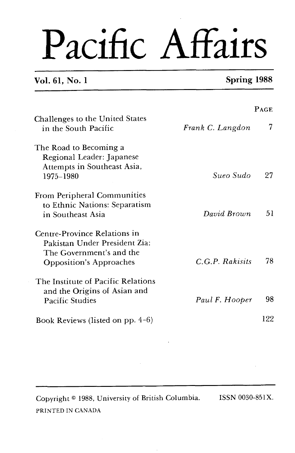# Pacific Affairs

# **Vol. 61, No. 1 Spring 1988**

|                                                                                                                             |                  | PAGE |
|-----------------------------------------------------------------------------------------------------------------------------|------------------|------|
| Challenges to the United States<br>in the South Pacific                                                                     | Frank C. Langdon | 7    |
| The Road to Becoming a<br>Regional Leader: Japanese<br>Attempts in Southeast Asia,<br>1975-1980                             | Sueo Sudo        | 27   |
| From Peripheral Communities<br>to Ethnic Nations: Separatism<br>in Southeast Asia                                           | David Brown      | 51   |
| Centre-Province Relations in<br>Pakistan Under President Zia:<br>The Government's and the<br><b>Opposition's Approaches</b> | C.G.P. Rakisits  | 78   |
| The Institute of Pacific Relations<br>and the Origins of Asian and<br><b>Pacific Studies</b>                                | Paul F. Hooper   | 98   |
| Book Reviews (listed on pp. $4-6$ )                                                                                         |                  | 122  |

Copyright <sup>@</sup> 1988, University of British Columbia. ISSN 0030-851X. PRINTED IN **CANADA**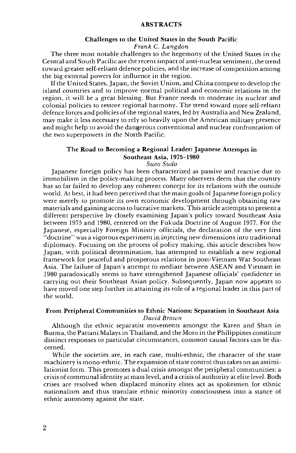#### **ABSTRACTS**

#### **Challenges to the United States in the South Pacific**

#### Frank **C.** Langdon

The three most notable challenges to the hegemony of the United States in the Central and South Pacific are the recent impact of anti-nuclear sentiment, the trend toward greater self-reliant defence policies, and the increase of competition among the big external powers for influence in the region.

If the United States, Japan, the Soviet Union, and China compete to develop the island countries and to improve normal political and economic relations in the region, it will be a great blessing. But France needs to moderate its nuclear and colonial policies to restore regional harmony. The trend toward more self-reliant defence forces and policies of the regional states, led by Australia and New Zealand, may make it less necessary to rely so heavily upon the American military presence and might help to avoid the dangerous conventional and nuclear confrontation of the two superpowers in the North Pacific.

### **The Road to Becoming a Regional Leader: Japanese Attempts in Southeast Asia, 1975-1980**

#### Sueo Sudo

Japanese foreign policy has been characterized as passive and reactive due to immobilism in the policy-making process. Many observers deem that the country has so far failed to develop any coherent concept for its relations with the outside world. At best, it had been perceived that the main goals of Japanese foreign policy were merely to promote its own economic development through obtaining raw materials and gaining access to lucrative markets. This article attempts to present a different perspective by closely examining Japan's policy toward Southeast Asia between 1975 and 1980, centered on the Fukuda Doctrine of August 1977. For the Japanese, especially Foreign Ministry officials, the declaration of the very first "doctrine" was a vigorous experiment in injecting new dimensions into traditional diplomacy. Focusing on the process of policy making, this article describes how Japan, with political determination, has attempted to establish a new regional framework for peaceful and prosperous relations in post-Vietnam War Southeast Asia. The failure of Japan's attempt to mediate between ASEAN and Vietnam in 1980 paradoxically seems to have strengthened Japanese officials' confidence in carrying out their Southeast Asian policy. Subsequently, Japan now appears to have moved one step further in attaining its role of a regional leader in this part of the world.

### **From Peripheral Communities to Ethnic Nations: Separatism in Southeast Asia**  David Brown

Although the ethnic separatist movements amongst the Karen and Shan in Burma, the Pattani Malays in Thailand, and the Moro in the Philippines constitute distinct responses to particular circumstances, common causal factors can be discerned.

While the societies are, in each case, multi-ethnic, the character of the state machinery is mono-ethnic. The expansion of state control thus takes on an assimilationist form. This promotes a dual crisis amongst the peripheral communities: a crisis of communal identity at mass level, and a crisis of authority at elite level. Both crises are resolved when displaced minority elites act as spokesmen for ethnic nationalism and thus translate ethnic minority consciousness into a stance of ethnic autonomy against the state.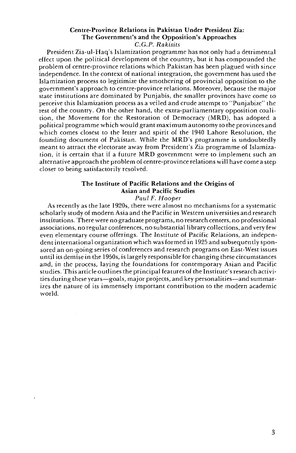# Centre-Province Relations in Pakistan Under President Zia: The Government's and the Opposition's Approaches

C.G.P. *Rakisits* 

President Zia-ul-Haq's Islamization programme has not only had a detrimental effect upon the political development of the country, but it has compounded the problem of centre-province relations which Pakistan has been plagued with since independence. In the context of national integration, the government has used the Islamization process to legitimize the smothering of provincial opposition to the government's approach to centre-province relations. Moreover, because the major state institutions are dominated by Punjabis, the smaller provinces have come to perceive this Islamization process as a veiled and crude attempt to "Punjabize" the rest of the country. On the other hand, the extra-parliamentary opposition coalition, the Movement for the Restoration of Democracy (MRD), has adopted a political programme which would grant maximum autonomy to the provinces and which comes closest to the letter and spirit of the 1940 Lahore Resolution, the founding document of Pakistan. While the MRD's programme is undoubtedly meant to attract the electorate away from President's Zia programme of Islamization, it is certain that if a future MRD government were to implement such an alternative approach the problem of centre-province relations will have come a step closer to being satisfactorily resolved.

# The Institute of Pacific Relations and the Origins of Asian and Pacific Studies

Paul *F.* Hooper

As recently as the late 1920s, there were almost no mechanisms for a systematic scholarly study of modern Asia and the Pacific in Western universities and research institutions. There were no graduate programs, no research centers, no professional associations, no regular conferences, no substantial library collections, and very few even elementary course offerings. The Institute of Pacific Relations, an independent international organization which was formed in 1925 and subsequently sponsored an on-going series of conferences and research programs on East-West issues until its demise in the 1950s, is largely responsiblefor changing these circumstances and, in the process, laying the foundations for contemporary Asian and Pacific studies. This article outlines the principal features of the Institute's research activities during these years-goals, major projects, and key personalities-and summarizes the nature of its immensely important contribution to the modern academic world.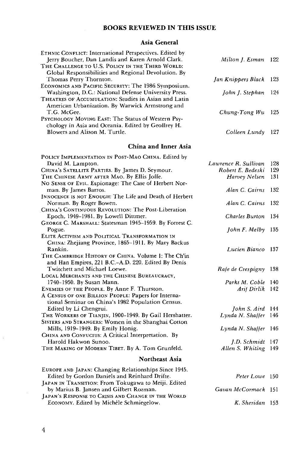# **BOOKS REVIEWED IN THIS ISSUE**

# **Asia General**

| ETHNIC CONFLICT: International Perspectives. Edited by<br>Jerry Boucher, Dan Landis and Karen Arnold Clark.  | Milton J. Esman      | 122 |
|--------------------------------------------------------------------------------------------------------------|----------------------|-----|
| THE CHALLENGE TO U.S. POLICY IN THE THIRD WORLD:<br>Global Responsibilities and Regional Devolution. By      |                      |     |
| Thomas Perry Thornton.                                                                                       | Jan Knippers Black   | 123 |
| ECONOMICS AND PACIFIC SECURITY: The 1986 Symposium.                                                          |                      |     |
| Washington, D.C.: National Defense University Press.<br>THEATRES OF ACCUMULATION: Studies in Asian and Latin | John J. Stephan      | 124 |
| American Urbanization. By Warwick Armstrong and                                                              |                      |     |
| T.G. McGee.                                                                                                  | Chung-Tong Wu        | 125 |
| PSYCHOLOGY MOVING EAST: The Status of Western Psy-                                                           |                      |     |
| chology in Asia and Oceania. Edited by Geoffrey H.                                                           |                      |     |
| Blowers and Alison M. Turtle.                                                                                | Colleen Lundy        | 127 |
|                                                                                                              |                      |     |
| China and Inner Asia                                                                                         |                      |     |
| POLICY IMPLEMENTATION IN POST-MAO CHINA. Edited by                                                           |                      |     |
| David M. Lampton.                                                                                            | Lawrence R. Sullivan | 128 |
| CHINA's SATELLITE PARTIES. By James D. Seymour.                                                              | Robert E. Bedeski    | 129 |
| THE CHINESE ARMY AFTER MAO. By Ellis Joffe.                                                                  | Harvey Nelsen        | 131 |
| No SENSE OF EVIL. Espionage: The Case of Herbert Nor-                                                        |                      |     |
| man. By James Barros.                                                                                        | Alan C. Cairns       | 132 |
| INNOCENCE IS NOT ENOUGH: The Life and Death of Herbert                                                       |                      |     |
| Norman. By Roger Bowen.                                                                                      | Alan C. Cairns       | 132 |
| CHINA's CONTINUOUS REVOLUTION: The Post-Liberation                                                           |                      |     |
| Epoch, 1949-1981. By Lowell Dittmer.                                                                         | Charles Burton       | 134 |
| GEORGE C. MARSHALL: Statesman 1945–1959. By Forrest C.                                                       |                      |     |
| Pogue.<br>ELITE ACTIVISM AND POLITICAL TRANSFORMATION IN                                                     | John F. Melby        | 135 |
| Снима: Zhejiang Province, 1865-1911. By Mary Backus                                                          |                      |     |
| Rankin.                                                                                                      | Lucien Bianco        | 137 |
| THE CAMBRIDGE HISTORY OF CHINA. Volume 1: The Ch'in                                                          |                      |     |
| and Han Empires, 221 B.C.-A.D. 220. Edited By Denis                                                          |                      |     |
| Twitchett and Michael Loewe.                                                                                 | Rafe de Crespigny    | 138 |
| LOCAL MERCHANTS AND THE CHINESE BUREAUCRACY,                                                                 |                      |     |
| 1740-1950. By Susan Mann.                                                                                    | Parks M. Coble       | 140 |
| ENEMIES OF THE PEOPLE. By Anne F. Thurston.                                                                  | Arif Dirlik          | 142 |
| A CENSUS OF ONE BILLION PEOPLE: Papers for Interna-                                                          |                      |     |
| tional Seminar on China's 1982 Population Census.                                                            |                      |     |
| Edited by Li Chengrui.                                                                                       | John S. Aird 144     |     |
| THE WORKERS OF TIANJIN, 1900-1949. By Gail Hershatter.                                                       | Lynda N. Shaffer     | 146 |
| SISTERS AND STRANGERS: Women in the Shanghai Cotton                                                          |                      |     |
| Mills, 1919-1949. By Emily Honig.                                                                            | Lγnda N. Shaffer     | 146 |
| CHINA AND CONFUCIUS: A Critical Interpretation. By                                                           |                      |     |
| Harold Hakwon Sunoo.                                                                                         | J.D. Schmidt 147     |     |
| THE MAKING OF MODERN TIBET. By A. Tom Grunfeld.                                                              | Allen S. Whiting     | 149 |
| Northeast Asia                                                                                               |                      |     |
| EUROPE AND JAPAN: Changing Relationships Since 1945.                                                         |                      |     |
| Edited by Gordon Daniels and Reinhard Drifte.                                                                | Peter Lowe 150       |     |
| JAPAN IN TRANSITION: From Tokugawa to Meiji. Edited                                                          |                      |     |
| by Marius B. Jansen and Gilbert Rozman.                                                                      | Gavan McCormack 151  |     |
| JAPAN'S RESPONSE TO CRISIS AND CHANGE IN THE WORLD                                                           |                      |     |
| ECONOMY. Edited by Michèle Schmiegelow.                                                                      | K. Sheridan 153      |     |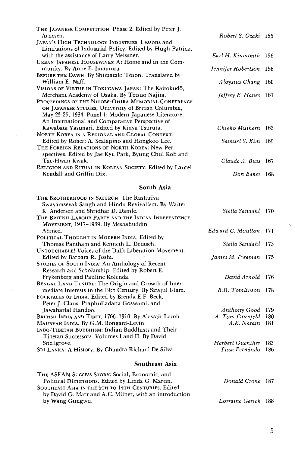| THE JAPANESE COMPETITION: Phase 2. Edited by Peter J.     |                             |  |
|-----------------------------------------------------------|-----------------------------|--|
| Arnesen.                                                  | Robert S. Ozaki 155         |  |
| JAPAN's HIGH TECHNOLOGY INDUSTRIES: Lessons and           |                             |  |
| Limitations of Industrial Policy. Edited by Hugh Patrick, |                             |  |
| with the assistance of Larry Meissner.                    | Earl H. Kinmonth 156        |  |
| URBAN JAPANESE HOUSEWIVES: At Home and in the Com-        |                             |  |
| munity. By Anne E. Imamura.                               | Jennifer Robertson 158      |  |
| BEFORE THE DAWN. By Shimazaki Toson. Translated by        |                             |  |
| William E. Naff.                                          | Aloysius Chang 160          |  |
| Visions of Virtue in Tokugawa Japan: The Kaitokudō,       |                             |  |
| Merchant Academy of Osaka. By Tetsuo Najita.              | <i>Jeffrey E. Hanes</i> 161 |  |
| PROCEEDINGS OF THE NITOBE-OHIRA MEMORIAL CONFERENCE       |                             |  |
| ON JAPANESE STUDIES, University of British Columbia,      |                             |  |
| May 23-25, 1984. Panel 1: Modern Japanese Literature.     |                             |  |
| An International and Comparative Perspective of           |                             |  |
| Kawabata Yasunari. Edited by Kinya Tsuruta.               | Chieko Mulhern 163          |  |
| NORTH KOREA IN A REGIONAL AND GLOBAL CONTEXT.             |                             |  |
| Edited by Robert A. Scalapino and Hongkoo Lee.            | Samuel S. Kim 165           |  |
| THE FOREIGN RELATIONS OF NORTH KOREA: New Per-            |                             |  |
| spectives. Edited by Jae Kyu Park, Byung Chul Koh and     |                             |  |
| Tae-Hwan Kwak.                                            | Claude A. Buss 167          |  |
| RELIGION AND RITUAL IN KOREAN SOCIETY. Edited by Laurel   |                             |  |
| Kendall and Griffin Dix.                                  | Don Baker 168               |  |

### **South Asia**

| THE BROTHERHOOD IN SAFFRON: The Rashtriya                |                       |       |
|----------------------------------------------------------|-----------------------|-------|
| Swayamsevak Sangh and Hindu Revivalism. By Walter        |                       |       |
| K. Andersen and Shridhar D. Damle.                       | Stella Sandahl 170    |       |
| THE BRITISH LABOUR PARTY AND THE INDIAN INDEPENDENCE     |                       |       |
| MOVEMENT, 1917-1939. By Mesbahuddin                      |                       |       |
| Ahmed.                                                   | Edward C. Moulton 171 |       |
| POLITICAL THOUGHT IN MODERN INDIA. Edited by             |                       |       |
| Thomas Pantham and Kenneth L. Deutsch.                   | Stella Sandahl        | 173   |
| UNTOUCHABLE! Voices of the Dalit Liberation Movement.    |                       |       |
| Edited by Barbara R. Joshi.                              | James M. Freeman      | 175   |
| STUDIES OF SOUTH INDIA: An Anthology of Recent           |                       |       |
| Research and Scholarship. Edited by Robert E.            |                       |       |
| Frykenberg and Pauline Kolenda.                          | David Arnold          | 176   |
| BENGAL LAND TENURE: The Origin and Growth of Inter-      |                       |       |
| mediate Interests in the 19th Century. By Sirajul Islam. | B.R. Tomlinson        | 178   |
| FOLKTALES OF INDIA. Edited by Brenda E.F. Beck,          |                       |       |
| Peter J. Claus, Praphulladatta Goswami, and              |                       |       |
| Jawaharlal Handoo.                                       | <b>Anthony Good</b>   | 179   |
| BRITISH INDIA AND TIBET, 1766-1910. By Alastair Lamb.    | A. Tom Grunfeld       | 180   |
| MAURYAN INDIA. By G.M. Bongard-Levin.                    | A.K. Narain           | 181   |
| INDO-TIBETAN BUDDHISM: Indian Buddhists and Their        |                       |       |
| Tibetan Successors. Volumes I and II. By David           |                       |       |
| Snellgrove.                                              | Herbert Guenther      | 183   |
| SRI LANKA: A History. By Chandra Richard De Silva.       | Tissa Fernando        | 186   |
| Southeast Asia                                           |                       |       |
| THE ASEAN SUCCESS STORY: Social, Economic, and           |                       |       |
| Political Dimensions. Edited by Linda G. Martin.         | Donald Crone          | - 187 |
| SOUTHEAST ASIA IN THE 9TH TO 14TH CENTURIES. Edited      |                       |       |

- by David G. Marr and A.C. Milner, with an introduction by Wang Gungwu. *Lorraine Gesick* 188
	- $\mathfrak{h}$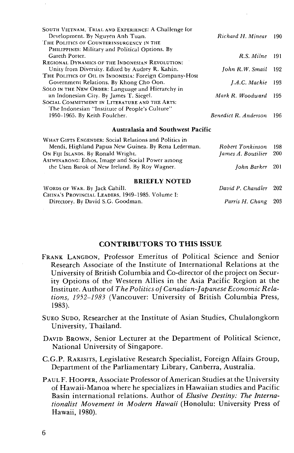| SOUTH VIETNAM, TRIAL AND EXPERIENCE: A Challenge for   |                      |       |
|--------------------------------------------------------|----------------------|-------|
| Development. By Nguyen Anh Tuan.                       | Richard H. Minear    | -190- |
| THE POLITICS OF COUNTERINSURGENCY IN THE               |                      |       |
| PHILIPPINES: Military and Political Options. By        |                      |       |
| Gareth Porter.                                         | R.S. Milne           | -191  |
| REGIONAL DYNAMICS OF THE INDONESIAN REVOLUTION:        |                      |       |
| Unity from Diversity. Edited by Audrey R. Kahin.       | John R.W. Smail      | -192  |
| THE POLITICS OF OIL IN INDONESIA: Foreign Company-Host |                      |       |
| Government Relations. By Khong Cho Oon.                | I.A.C. Mackie        | -193  |
| SOLO IN THE NEW ORDER: Language and Hierarchy in       |                      |       |
| an Indonesian City. By James T. Siegel.                | Mark R. Woodward     | 195   |
| SOCIAL COMMITMENT IN LITERATURE AND THE ARTS:          |                      |       |
| The Indonesian "Institute of People's Culture"         |                      |       |
| 1950-1965. By Keith Foulcher.                          | Benedict R. Anderson | -196  |
| <b>Australasia and Southwest Pacific</b>               |                      |       |
| WHAT GIFTS ENGENDER: Social Relations and Politics in  |                      |       |

| Mendi, Highland Papua New Guinea. By Rena Lederman.                                                                | Robert Tonkinson 198                                        |       |
|--------------------------------------------------------------------------------------------------------------------|-------------------------------------------------------------|-------|
| ON FIJI ISLANDS, By Ronald Wright.                                                                                 | James A. Boutilier                                          | - 200 |
| ASIWINARONG: Ethos, Image and Social Power among<br>the Usen Barok of New Ireland. By Roy Wagner.                  | Iohn Barker 201                                             |       |
| <b>BRIEFLY NOTED</b><br>$W_{\alpha}$ and $\alpha$ $W_{\alpha}$ $R_{\alpha}$ $R_{\alpha}$ $R_{\alpha}$ $R_{\alpha}$ | $D_{\text{coul}}$ D $D_{\text{coul}}$ $D_{\text{coul}}$ 000 |       |

| WORDS OF WAR. By Jack Cahill.                    | David P. Chandler 202 |  |
|--------------------------------------------------|-----------------------|--|
| China's Provincial Leaders, 1949-1985. Volume I: |                       |  |
| Directory. By David S.G. Goodman.                | Parris H. Chang 203   |  |

### **CONTRIBUTORS TO THIS ISSUE**

- FRANK LANGDON, Professor Emeritus of Political Science and Senior Research Associate of the Institute of International Relations at the University of British Columbia and Co-director of the project on Security Options of the Western Allies in the Asia Pacific Region at the Institute. Author of *The Politics of Canadian-Japanese Economic Relations, 1952-1983* (Vancouver: University of British Columbia Press, 1983).
- SUEO SUDO, Researcher at the Institute of Asian Studies, Chulalongkorn University, Thailand.
- DAVID BROWN, Senior Lecturer at the Department of Political Science, National University of Singapore.
- C.G.P. RAKISITS, Legislative Research Specialist, Foreign Affairs Group, Department of the Parliamentary Library, Canberra, Australia.
- PAUL F. HOOPER, Associate Professor of American Studies at the University of Hawaii-Manoa where he specializes in Hawaiian studies and Pacific Basin international relations. Author of *Elusive Destiny: The Internationalist Movement in Modern Hawaii* (Honolulu: University Press of Hawaii, 1980).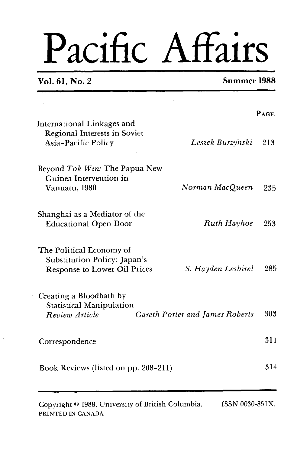# Pacific Affairs

# **Vol. 61, No. 2 Summer 1988**

|                                                                                                 |                                        | PAGE |
|-------------------------------------------------------------------------------------------------|----------------------------------------|------|
| International Linkages and<br><b>Regional Interests in Soviet</b><br>Asia-Pacific Policy        | Leszek Buszynski                       | 213  |
| Beyond Tok Win: The Papua New<br>Guinea Intervention in<br>Vanuatu, 1980                        | Norman MacQueen                        | 235  |
| Shanghai as a Mediator of the<br><b>Educational Open Door</b>                                   | Ruth Hayhoe                            | 253  |
| The Political Economy of<br>Substitution Policy: Japan's<br><b>Response to Lower Oil Prices</b> | S. Hayden Lesbirel                     | 285  |
| Creating a Bloodbath by<br><b>Statistical Manipulation</b><br>Review Article                    | <b>Gareth Porter and James Roberts</b> | 303  |
| Correspondence                                                                                  |                                        | 311  |
| Book Reviews (listed on pp. 208-211)                                                            |                                        | 314  |
|                                                                                                 |                                        |      |

Copyright © 1988, University of British Columbia. ISSN 0030-851X. PRINTED IN CANADA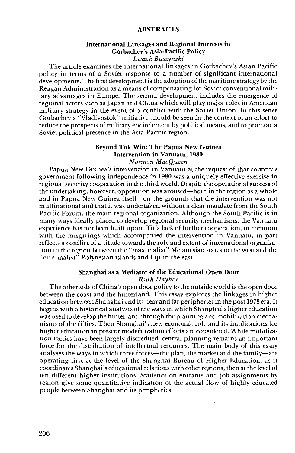#### **ABSTRACTS**

# International Linkages and Regional Interests in Gorbachev's Asia-Pacific Policy

*Leszek Buszynski* 

The article examines the international linkages in Gorbachev's Asian Pacific policy in terms of a Soviet response to a number of significant international developments. The first development is the adoption of the maritime strategy by the Reagan Administration as a means of compensating for Soviet conventional military advantages in Europe. The second development includes the emergence of regional actors such as Japan and China which will play major roles in American military strategy in the event of a conflict with the Soviet Union. In this sense Gorbachev's "Vladivostok" initiative should be seen in the context of an effort to reduce the prospects of military encirclement by political means, and to promote a Soviet political presence in the Asia-Pacific region.

# Beyond Tok Win: The Papua New Guinea Intervention in Vanuatu, 1980

*Norman MacQueen* 

Papua New Guinea's intervention in Vanuatu at the request of that country's government following independence in 1980 was a uniquely effective exercise in regional security cooperation in the third world. Despite the operational success of the undertaking, however, opposition was aroused-both in the region as a whole and in Papua New Guinea itself-on the grounds that the intervention was not multinational and that it was undertaken without a clear mandate from the South Pacific Forum, the main regional organization. Although the South Pacific is in many ways ideally placed to develop regional security mechanisms, the Vanuatu experience has not been built upon. This lack of further cooperation, in common with the misgivings which accompanied the intervention in Vanuatu, in part reflects a conflict of attitude towards the role and extent of international organization in the region between the "maximalist" Melanesian states to the west and the "minimalist" Polynesian islands and Fiji in the east.

#### Shanghai as a Mediator of the Educational Open Door *Ruth Hayhoe*

The other side of China's open door policy to the outside world is the open door between the coast and the hinterland. This essay explores the linkages in higher education between Shanghai and its near and far peripheries in the post 1978 era. It begins with a historical analysis of the ways in which Shanghai's higher education was used to develop the hinterland through the planning and mobilization mechanisms of the fifties. Then Shanghai's new economic role and its implications for higher education in present modernization efforts are considered. While mobilization tactics have been largely discredited, central planning remains an important force for the distribution of intellectual resources. The main body of this essay analyses the ways in which three forces—the plan, the market and the family—are operating first at the level of the Shanghai Bureau of Higher Education, as it coordinates Shanghai's educational relations with other regions, then at the level of ten different higher institutions. Statistics on entrants and job assignments by region give some quantitative indication of the actual flow of highly educated people between Shanghai and its peripheries.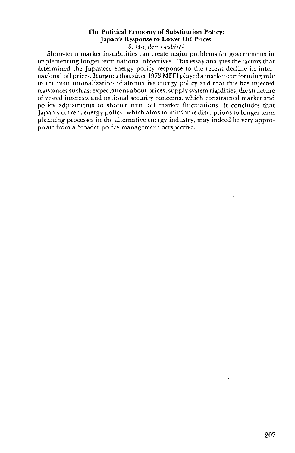#### The Political Economy of Substitution Policy: Japan's Response to Lower Oil Prices S. *Hayden* Lesbirel

Short-term market instabilities can create major problems for governments in implementing longer term national objectives. This essay analyzes the factors that determined the Japanese energy policy response to the recent decline in international oil prices. It argues that since 1973 MITI played a market-conforming role in the institutionalization of alternative energy policy and that this has injected resistances such as: expectations about prices, supply system rigidities, the structure of vested interests and national security concerns, which constrained market and policy adjustments to shorter term oil market .fluctuations. It concludes that Japan's current energy policy, which aims to minimize disruptions to longer term planning processes in the alternative energy industry, may indeed be very appropriate from a broader policy management perspective.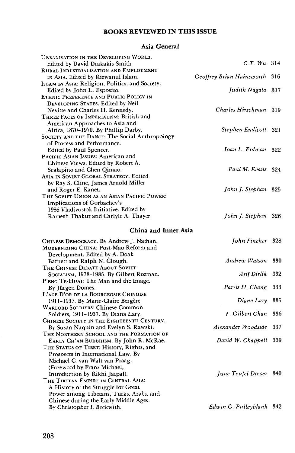# **BOOKS REVIEWED IN THIS ISSUE**

# **Asia General**

| <b>URBANISATION IN THE DEVELOPING WORLD.</b><br>Edited by David Drakakis-Smith | C.T. Wu 314               |       |
|--------------------------------------------------------------------------------|---------------------------|-------|
| <b>RURAL INDUSTRIALISATION AND EMPLOYMENT</b>                                  | Geoffrey Brian Hainsworth | -316  |
| IN ASIA. Edited by Rizwanul Islam.                                             |                           |       |
| ISLAM IN ASIA: Religion, Politics, and Society.                                | Judith Nagata 317         |       |
| Edited by John L. Esposito.<br>ETHNIC PREFERENCE AND PUBLIC POLICY IN          |                           |       |
| DEVELOPING STATES. Edited by Neil                                              |                           |       |
| Nevitte and Charles H. Kennedy.                                                | Charles Hirschman 319     |       |
| THREE FACES OF IMPERIALISM: British and                                        |                           |       |
| American Approaches to Asia and                                                |                           |       |
| Africa, 1870-1970. By Phillip Darby.                                           | Stephen Endicott 321      |       |
| SOCIETY AND THE DANCE: The Social Anthropology                                 |                           |       |
| of Process and Performance.                                                    |                           |       |
| Edited by Paul Spencer.                                                        | Joan L. Erdman 322        |       |
| <b>PACIFIC-ASIAN ISSUES: American and</b>                                      |                           |       |
| Chinese Views. Edited by Robert A.                                             |                           |       |
| Scalapino and Chen Qimao.                                                      | Paul M. Evans 324         |       |
| ASIA IN SOVIET GLOBAL STRATEGY. Edited                                         |                           |       |
| by Ray S. Cline, James Arnold Miller                                           |                           |       |
| and Roger E. Kanet.                                                            | John J. Stephan           | - 325 |
| THE SOVIET UNION AS AN ASIAN PACIFIC POWER:                                    |                           |       |
| Implications of Gorbachev's                                                    |                           |       |
| 1986 Vladivostok Initiative. Edited by                                         |                           |       |
| Ramesh Thakur and Carlyle A. Thayer.                                           | John J. Stephan 326       |       |
|                                                                                |                           |       |
| China and Inner Asia                                                           |                           |       |
| CHINESE DEMOCRACY. By Andrew J. Nathan.                                        | John Fincher 328          |       |
| MODERNIZING CHINA: Post-Mao Reform and                                         |                           |       |
| Development. Edited by A. Doak                                                 |                           |       |
| Barnett and Ralph N. Clough.                                                   | Andrew Watson             | 330   |
| THE CHINESE DEBATE ABOUT SOVIET                                                |                           |       |
| SOCIALISM, 1978-1985. By Gilbert Rozman.                                       | Arif Dırlık               | 332   |
| P'ENG TE-HUAI: The Man and the Image.                                          |                           |       |
| By Jürgen Domes.                                                               | Parris H. Chang           | 333   |
| L'AGE D'OR DE LA BOURGEOSIE CHINOISE,                                          |                           |       |
| 1911-1937. By Marie-Claire Bergère.                                            | Diana Lary                | 335   |
| <b>WARLORD SOLDIERS: Chinese Common</b>                                        |                           |       |
| Soldiers, 1911-1937. By Diana Lary.                                            | F. Gilbert Chan 336       |       |
| CHINESE SOCIETY IN THE EIGHTEENTH CENTURY.                                     |                           |       |
| By Susan Naquin and Evelyn S. Rawski.                                          | Alexander Woodside        | 337   |
| THE NORTHERN SCHOOL AND THE FORMATION OF                                       |                           |       |
| EARLY CH'AN BUDDHISM. By John R. McRae.                                        | David W. Chappell         | 339   |
| THE STATUS OF TIBET: History, Rights, and                                      |                           |       |
| Prospects in International Law. By                                             |                           |       |
| Michael C. van Walt van Praag,                                                 |                           |       |
| (Foreword by Franz Michael,                                                    |                           |       |
| Introduction by Rikhi Jaipal).                                                 | June Teufel Dreyer        | 340   |
| THE TIBETAN EMPIRE IN CENTRAL ASIA:                                            |                           |       |
| A History of the Struggle for Great                                            |                           |       |
| Power among Tibetans, Turks, Arabs, and                                        |                           |       |
| Chinese during the Early Middle Ages.                                          |                           |       |
| By Christopher I. Beckwith.                                                    | Edwin G. Pulleyblank 342  |       |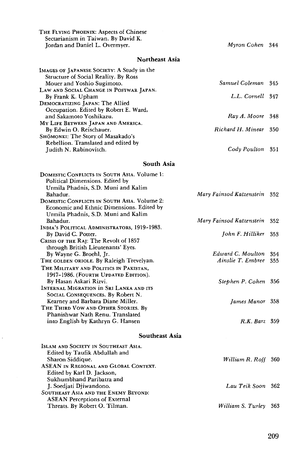| THE FLYING PHOENIX: Aspects of Chinese<br>Sectarianism in Taiwan. By David K.<br>Jordan and Daniel L. Overmyer.                                                                | Myron Cohen 344                        |            |
|--------------------------------------------------------------------------------------------------------------------------------------------------------------------------------|----------------------------------------|------------|
| <b>Northeast Asia</b>                                                                                                                                                          |                                        |            |
| IMAGES OF JAPANESE SOCIETY: A Study in the<br>Structure of Social Reality. By Ross                                                                                             |                                        |            |
| Mouer and Yoshio Sugimoto.<br>LAW AND SOCIAL CHANGE IN POSTWAR JAPAN.                                                                                                          | Samuel Coleman                         | 345        |
| By Frank K. Upham<br>DEMOCRATIZING JAPAN: The Allied<br>Occupation. Edited by Robert E. Ward,                                                                                  | L.L. Cornell 347                       |            |
| and Sakamoto Yoshikazu.<br>MY LIFE BETWEEN JAPAN AND AMERICA.                                                                                                                  | Ray A. Moore                           | 348        |
| By Edwin O. Reischauer.<br>SHOMONKI: The Story of Masakado's                                                                                                                   | Richard H. Minear                      | 350        |
| Rebellion. Translated and edited by<br>Judith N. Rabinovitch.                                                                                                                  | Cody Poulton 351                       |            |
| South Asia                                                                                                                                                                     |                                        |            |
| DOMESTIC CONFLICTS IN SOUTH ASIA. Volume 1:                                                                                                                                    |                                        |            |
| Political Dimensions. Edited by<br>Urmila Phadnis, S.D. Muni and Kalim<br>Bahadur.<br>DOMESTIC CONFLICTS IN SOUTH ASIA. Volume 2:<br>Economic and Ethnic Dimensions. Edited by | Mary Fainsod Katzenstein 352           |            |
| Urmila Phadnis, S.D. Muni and Kalim<br>Bahadur.                                                                                                                                | Mary Fainsod Katzenstein               | 352        |
| INDIA'S POLITICAL ADMINISTRATORS, 1919-1983.<br>By David C. Potter.                                                                                                            | John F. Hilliker                       | 353        |
| CRISIS OF THE RAJ: The Revolt of 1857<br>through British Lieutenants' Eyes.                                                                                                    |                                        |            |
| By Wayne G. Broehl, Jr.<br>THE GOLDEN ORIOLE. By Raleigh Trevelyan.                                                                                                            | Edward C. Moulton<br>Ainslie T. Embree | 354<br>355 |
| THE MILITARY AND POLITICS IN PAKISTAN,<br>1947-1986. (FOURTH UPDATED EDITION).<br>By Hasan Askari Rizvi.<br>INTERNAL MIGRATION IN SRI LANKA AND ITS                            | Stephen P. Cohen 356                   |            |
| SOCIAL CONSEQUENCES. By Robert N.<br>Kearney and Barbara Diane Miller.<br>THE THIRD VOW AND OTHER STORIES. By                                                                  | James Manor 358                        |            |
| Phanishwar Nath Renu. Translated<br>into English by Kathryn G. Hansen                                                                                                          | $R.K.$ Barz $359$                      |            |
| Southeast Asia                                                                                                                                                                 |                                        |            |
| ISLAM AND SOCIETY IN SOUTHEAST ASIA.<br>Edited by Taufik Abdullah and<br>Sharon Siddique.<br>ASEAN in Regional and Global Context.                                             | William R. Roff 360                    |            |
| Edited by Karl D. Jackson,<br>Sukhumbhand Paribatra and<br>J. Soediati Diiwandono.<br>SOUTHEAST ASIA AND THE ENEMY BEYOND:                                                     | Lau Teik Soon                          | 362        |
| <b>ASEAN Perceptions of External</b><br>Threats. By Robert O. Tilman.                                                                                                          | William S. Turley                      | 363        |

 $\ddot{\phantom{a}}$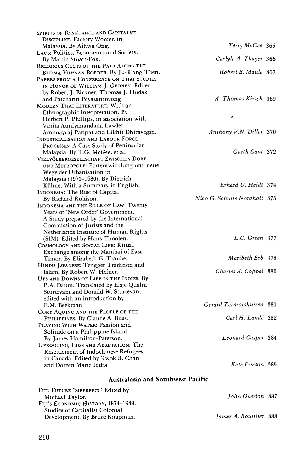| Spirits of Resistance and Capitalist          |                              |
|-----------------------------------------------|------------------------------|
| DISCIPLINE: Factory Women in                  |                              |
| Malaysia. By Aihwa Ong.                       | Terry McGee 365              |
| LAOS: Politics, Economics and Society.        |                              |
| By Martin Stuart-Fox.                         | Carlyle A. Thayer 366        |
| <b>RELIGIOUS CULTS OF THE PAI-I ALONG THE</b> |                              |
| BURMA-YUNNAN BORDER. By Ju-K'ang T'ien.       | Robert B. Maule 367          |
| PAPERS FROM A CONFERENCE ON THAI STUDIES      |                              |
| IN HONOR OF WILLIAM J. GEDNEY. Edited         |                              |
| by Robert J. Bickner, Thomas J. Hudak         |                              |
| and Patcharin Peyasantiwong.                  | A. Thomas Kirsch 369         |
| MODERN THAI LITERATURE: With an               |                              |
| Ethnographic Interpretation. By               |                              |
| Herbert P. Phillips, in association with      | Á                            |
| Vinita Atmiyanandana Lawler,                  |                              |
| Amnuaycaj Patipat and Likhit Dhiravegin.      | Anthony V.N. Diller 370      |
| INDUSTRIALISATION AND LABOUR FORCE            |                              |
| PROCESSES: A Case Study of Peninsular         |                              |
| Malaysia. By T.G. McGee, et al.               | Garth Cant 372               |
| VIELVÖLKERGESELLSCHAFT ZWISCHEN DORF          |                              |
| UND METROPOLE: Fortentwicklung und neue       |                              |
| Wege der Urbanisation in                      |                              |
| Malaysia (1970-1980). By Dietrich             |                              |
| Kühne, With a Summary in English.             | Erhard U. Heidt 374          |
| INDONESIA: The Rise of Capital                |                              |
| By Richard Robison.                           | Nico G. Schulte Nordholt 375 |
| INDONESIA AND THE RULE OF LAW: Twenty         |                              |
| Years of 'New Order' Government.              |                              |
| A Study prepared by the International         |                              |
| Commission of Jurists and the                 |                              |
| Netherlands Institute of Human Rights         |                              |
| (SIM). Edited by Hans Thoolen.                | L.C. Green 377               |
| COSMOLOGY AND SOCIAL LIFE: Ritual             |                              |
| Exchange among the Mambai of East             |                              |
| Timor. By Elizabeth G. Traube.                | Maribeth Erb 378             |
| HINDU JAVANESE: Tengger Tradition and         |                              |
| Islam. By Robert W. Hefner.                   | Charles A. Coppel 380        |
| UPS AND DOWNS OF LIFE IN THE INDIES. By       |                              |
| P.A. Daum. Translated by Elsje Qualm          |                              |
| Sturtevant and Donald W. Sturtevant;          |                              |
| edited with an introduction by                |                              |
| E.M. Beekman.                                 | Gerard Termorshuizen 381     |
| CORY AQUINO AND THE PEOPLE OF THE             |                              |
| PHILIPPINES. By Claude A. Buss.               | Carl H. Landé 382            |
| PLAYING WITH WATER: Passion and               |                              |
| Solitude on a Philippine Island.              |                              |
| By James Hamilton-Paterson.                   | Leonard Casper 384           |
| UPROOTING, LOSS AND ADAPTATION: The           |                              |
| <b>Resettlement of Indochinese Refugees</b>   |                              |
| in Canada. Edited by Kwok B. Chan             |                              |
| and Doreen Marie Indra.                       | Kate Frieson 385             |
|                                               |                              |

# **Australasia and Southwest Pacific**

| FIII: FUTURE IMPERFECT? Edited by   |                               |  |
|-------------------------------------|-------------------------------|--|
| Michael Taylor.                     | <b>John Overton</b> 387       |  |
| FIII's ECONOMIC HISTORY, 1874-1939: |                               |  |
| Studies of Capitalist Colonial      |                               |  |
| Development. By Bruce Knapman.      | <i>James A. Boutilier</i> 388 |  |
|                                     |                               |  |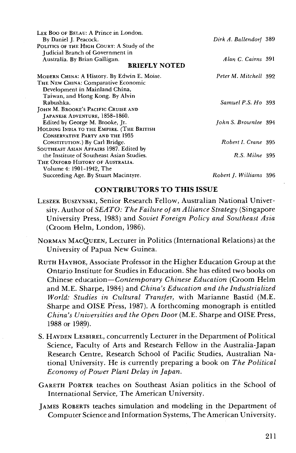| LEE BOO OF BELAU: A Prince in London.       |                        |  |
|---------------------------------------------|------------------------|--|
| By Daniel J. Peacock.                       | Dirk A. Ballendorf 389 |  |
| POLITICS OF THE HIGH COURT: A Study of the  |                        |  |
| Judicial Branch of Government in            |                        |  |
| Australia. By Brian Galligan.               | Alan C. Cairns 391     |  |
| <b>BRIEFLY NOTED</b>                        |                        |  |
| MODERN CHINA: A History. By Edwin E. Moise. | Peter M. Mitchell 392  |  |
| THE NEW CHINA: Comparative Economic         |                        |  |
| Development in Mainland China,              |                        |  |
| Taiwan, and Hong Kong. By Alvin             |                        |  |
| Rabushka.                                   | Samuel P.S. Ho 393     |  |
| JOHN M. BROOKE'S PACIFIC CRUISE AND         |                        |  |
| JAPANESE ADVENTURE, 1858-1860.              |                        |  |
| Edited by George M. Brooke, Jr.             | John S. Brownlee 394   |  |
| HOLDING INDIA TO THE EMPIRE. (THE BRITISH   |                        |  |
| <b>CONSERVATIVE PARTY AND THE 1935</b>      |                        |  |
| CONSTITUTION.) By Carl Bridge.              | Robert I. Crane 395    |  |
| SOUTHEAST ASIAN AFFAIRS 1987. Edited by     |                        |  |
| the Institute of Southeast Asian Studies.   | $R.S.$ Milne $395$     |  |
| THE OXFORD HISTORY OF AUSTRALIA.            |                        |  |
| Volume 4: 1901-1942, The                    |                        |  |
| Succeeding Age. By Stuart Macintyre.        | Robert J. Williams 396 |  |

## **CONTRIBUTORS TO THIS ISSUE**

- LESZEK BUSZYNSKI, Senior Research Fellow, Australian National University. Author of SEATO: The Failure of an Alliance Strategy (Singapore University Press, 1983) and Soviet Foreign Policy and Southeast Asia (Croom Helm, London, 1986).
- NORMAN MACQUEEN, Lecturer in Politics (International Relations) at the University of Papua New Guinea.
- RUTH HAYHOE, Associate Professor in the Higher Education Group at the Ontario Institute for Studies in Education. She has edited two books on Chinese education-Contemporary Chinese Education (Croom Helm and M.E. Sharpe, 1984) and China's Education and the Industrialized World: Studies in Cultural Transfer, with Marianne Bastid (M.E. Sharpe and OISE Press, 1987). A forthcoming monograph is entitled China's Universities and the Open Door (M.E. Sharpe and OISE Press, 1988 or 1989).
- S. HAYDEN LESBIREL, concurrently Lecturer in the Department of Political Science, Faculty of Arts and Research Fellow in the Australia-Japan Research Centre, Research School of Pacific Studies, Australian National University. He is currently preparing a book on The Political Economy of Power Plant Delay in Japan.
- GARETH PORTER teaches on Southeast Asian politics in the School of International Service, The American University.
- JAMES ROBERTS teaches simulation and modeling in the Department of Computer Science and Information Systems, The American University.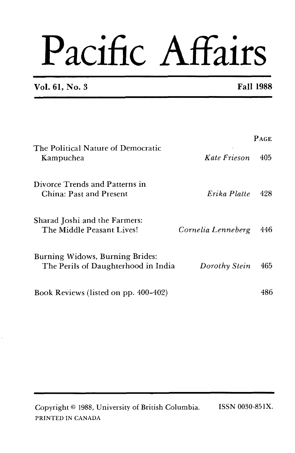# Pacific Affairs

**Vol. 61, No. 3 Fall 1988** 

|                                                                        |                    | <b>PAGE</b> |
|------------------------------------------------------------------------|--------------------|-------------|
| The Political Nature of Democratic<br>Kampuchea                        | Kate Frieson       | 405         |
| Divorce Trends and Patterns in<br>China: Past and Present              | Erika Platte       | 428         |
| Sharad Joshi and the Farmers:<br>The Middle Peasant Lives!             | Cornelia Lenneberg | 446         |
| Burning Widows, Burning Brides:<br>The Perils of Daughterhood in India | Dorothy Stein      | 465         |
| Book Reviews (listed on pp. 400-402)                                   |                    | 486         |

Copyright @ 1988, University of British Columbia. ISSN 0030-85lX. PRINTED IN **CANADA**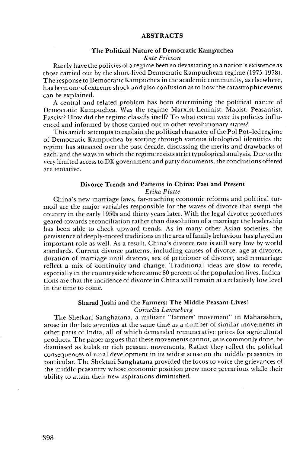#### ABSTRACTS

#### The Political Nature of Democratic Kampuchea *Kate Frieson*

Rarely have the policies of a regime been so devastating to a nation's existence as those carried out by the short-lived Democratic Kampuchean regime (1975-1978). The response to Democratic Kampuchea in the academic community, as elsewhere, has been one of extreme shock and also confusion as to how the catastrophic events can be explained.

**A** central and related problem has been determining the political nature of Democratic Kampuchea. Was the regime Marxist-Leninist, Maoist, Peasantist, Fascist? How did the regime classify itself? To what extent were its policies influenced and informed by those carried out in other revolutionary states?

This article attempts to explain the political character of the Pol Pot-led regime of Democratic Kampuchea by sorting through various ideological identities the regime has attracted over the past decade, discussing the merits and drawbacks of each, and the ways in which the regime resists strict typological analysis. Due to the very limited access to DK government and party documents, the conclusions offered are tentative.

#### Divorce Trends and Patterns in China: Past and Present *Erika Platte*

China's new marriage laws, far-reaching economic reforms and political turmoil are the major variables responsible for the waves of divorce that swept the country in the early 1950s and thirty years later. With the legal divorce procedures geared towards reconciliation rather than dissolution of a marriage the leadership has been able to check upward trends. As in many other Asian societies, the persistence of deeply-rooted traditions in the area of family behaviour has played an important role as well. As a result, China's divorce rate is still very low by world standards. Current divorce patterns, including causes of divorce, age at divorce, duration of marriage until divorce, sex of petitioner of divorce, and remarriage reflect a mix of continuity and change. Traditional ideas are slow to recede, especially in the countryside where some 80 percent of the population lives. Indications are that the incidence of divorce in China will remain at a relatively low level in the time to come.

### Sharad Joshi and the Farmers: The Middle Peasant Lives!

#### *Cornelia Lenneberg*

The Shetkari Sanghatana, a militant "farmers' movement" in Maharashtra, arose in the late seventies at the same time as a number of similar movements in other parts of India, all of which demanded remunerative prices for agricultural products. The paper argues that these movements cannot, as is commonly done, be dismissed as kulak or rich peasant movements. Rather they reflect the political consequences of rural development in its widest sense on the middle peasantry in particular. The Shektari Sanghatana provided the focus to voice the grievances of the middle peasantry whose economic position grew more precarious while their ability to attain their new aspirations diminished.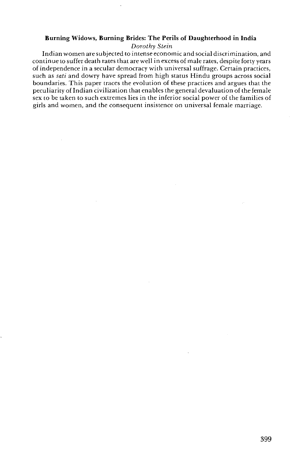#### Burning Widows, Burning Brides: **The** Perils of Daughterhood in India

#### *Dorothy Stein*

Indian women are subjected to intense economic and social discrimination, and continue to suffer death rates that are well in excess of male rates, despite forty years of independence in a secular democracy with universal suffrage. Certain practices, such as *sati* and dowry have spread from high status Hindu groups across social boundaries. This paper traces the evolution of these practices and argues that the peculiarity of Indian civilization that enables the general devaluation of the female sex to be taken to such extremes lies in the inferior social power of the families of girls and women, and the consequent insistence on universal female marriage.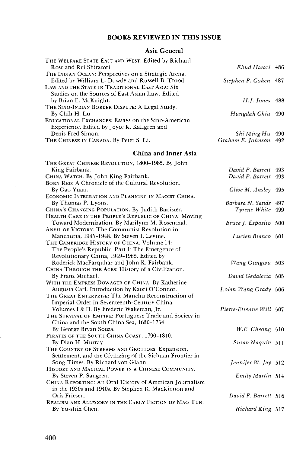# **BOOKS REVIEWED IN THIS ISSUE**

# **Asia General**

| THE WELFARE STATE EAST AND WEST. Edited by Richard                                                  |                              |  |
|-----------------------------------------------------------------------------------------------------|------------------------------|--|
| Rose and Rei Shiratori.                                                                             | Ehud Harari 486              |  |
| THE INDIAN OCEAN: Perspectives on a Strategic Arena.                                                |                              |  |
| Edited by William L. Dowdy and Russell B. Trood.                                                    | Stephen P. Cohen 487         |  |
| LAW AND THE STATE IN TRADITIONAL EAST ASIA: SIX<br>Studies on the Sources of East Asian Law. Edited |                              |  |
| by Brian E. McKnight.                                                                               | H.J. Jones 488               |  |
| THE SINO-INDIAN BORDER DISPUTE: A Legal Study.                                                      |                              |  |
| By Chih H. Lu                                                                                       | Hungdah Chiu 490             |  |
| EDUCATIONAL EXCHANGES: Essays on the Sino-American                                                  |                              |  |
| Experience. Edited by Joyce K. Kallgren and                                                         |                              |  |
| Denis Fred Simon.                                                                                   | Shi Ming Hu 490              |  |
| THE CHINESE IN CANADA. By Peter S. Li.                                                              | Graham E. Johnson 492        |  |
| China and Inner Asia                                                                                |                              |  |
| THE GREAT CHINESE REVOLUTION, 1800-1985. By John                                                    |                              |  |
| King Fairbank.                                                                                      | David P. Barrett 493         |  |
| CHINA WATCH. By John King Fairbank.                                                                 | David P. Barrett 493         |  |
| BORN RED: A Chronicle of the Cultural Revolution.<br>By Gao Yuan.                                   |                              |  |
| ECONOMIC INTEGRATION AND PLANNING IN MAOIST CHINA.                                                  | Clive M. Ansley 495          |  |
| By Thomas P. Lyons.                                                                                 | Barbara N. Sands 497         |  |
| CHINA's CHANGING POPULATION. By Judith Banister.                                                    | Tyrene White 499             |  |
| HEALTH CARE IN THE PEOPLE'S REPUBLIC OF CHINA: Moving                                               |                              |  |
| Toward Modernization. By Marilynn M. Rosenthal.                                                     | Bruce J. Esposito 500        |  |
| ANVIL OF VICTORY: The Communist Revolution in                                                       |                              |  |
| Manchuria, 1945-1948. By Steven I. Levine.                                                          | Lucien Bianco 501            |  |
| THE CAMBRIDGE HISTORY OF CHINA. Volume 14:<br>The People's Republic, Part I: The Emergence of       |                              |  |
| Revolutionary China, 1949-1965. Edited by                                                           |                              |  |
| Roderick MacFarquhar and John K. Fairbank.                                                          | Wang Gungwu 503              |  |
| CHINA THROUGH THE AGES: History of a Civilization.                                                  |                              |  |
| By Franz Michael.                                                                                   | David Gedalecia 505          |  |
| WITH THE EMPRESS DOWAGER OF CHINA. By Katherine                                                     |                              |  |
| Augusta Carl. Introduction by Kaori O'Connor.                                                       | Lolan Wang Grady 506         |  |
| THE GREAT ENTERPRISE: The Manchu Reconstruction of                                                  |                              |  |
| Imperial Order in Seventeenth-Century China.<br>Volumes I & II. By Frederic Wakeman, Jr.            | Pierre-Etienne Will 507      |  |
| THE SURVIVAL OF EMPIRE: Portuguese Trade and Society in                                             |                              |  |
| China and the South China Sea, 1630-1754.                                                           |                              |  |
| By George Bryan Souza.                                                                              | $W.E.$ Cheong $510$          |  |
| PIRATES OF THE SOUTH CHINA COAST, 1790-1810.                                                        |                              |  |
| By Dian H. Murray.                                                                                  | Susan Naquin 511             |  |
| THE COUNTRY OF STREAMS AND GROTTOES: Expansion,                                                     |                              |  |
| Settlement, and the Civilizing of the Sichuan Frontier in                                           |                              |  |
| Song Times. By Richard von Glahn.<br>HISTORY AND MAGICAL POWER IN A CHINESE COMMUNITY.              | <i>Jennifer W. Jay</i> $512$ |  |
| By Steven P. Sangren.                                                                               | Emily Martin 514             |  |
| CHINA REPORTING: An Oral History of American Journalism                                             |                              |  |
| in the 1930s and 1940s. By Stephen R. MacKinnon and                                                 |                              |  |
| Oris Friesen.                                                                                       | David P. Barrett 516         |  |
| REALISM AND ALLEGORY IN THE EARLY FICTION OF MAO TUN.                                               |                              |  |
| By Yu-shih Chen.                                                                                    | Richard King 517             |  |

ł.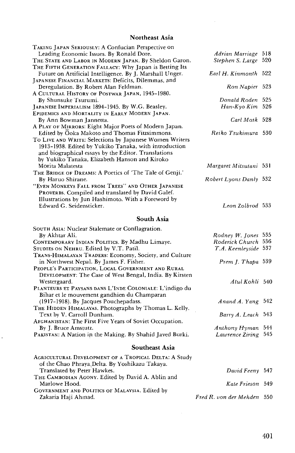# **Northeast Asia**

| TAKING JAPAN SERIOUSLY: A Confucian Perspective on<br>Leading Economic Issues. By Ronald Dore. | Adrian Marriage 518        |  |
|------------------------------------------------------------------------------------------------|----------------------------|--|
| THE STATE AND LABOR IN MODERN JAPAN. By Sheldon Garon.                                         | Stephen S. Large 520       |  |
| THE FIFTH GENERATION FALLACY: Why Japan is Betting Its                                         |                            |  |
| Future on Artificial Intelligence. By J. Marshall Unger.                                       | Earl H. Kinmonth 522       |  |
| JAPANESE FINANCIAL MARKETS: Deficits, Dilemmas, and                                            |                            |  |
| Deregulation. By Robert Alan Feldman.                                                          | Ron Napier 523             |  |
| A CULTURAL HISTORY OF POSTWAR JAPAN, 1945-1980.                                                |                            |  |
| By Shunsuke Tsurumi.                                                                           | Donald Roden 525           |  |
| JAPANESE IMPERIALISM 1894-1945. By W.G. Beasley.                                               | Han-Kyo Kim 526            |  |
| EPIDEMICS AND MORTALITY IN EARLY MODERN JAPAN.                                                 |                            |  |
| By Ann Bowman Jannetta.                                                                        | Carl Mosk 528              |  |
| A PLAY OF MIRRORS: Eight Major Poets of Modern Japan.                                          |                            |  |
| Edited by Ooka Makoto and Thomas Fitzsimmons.                                                  | Reiko Tsukimura 530        |  |
| To Live AND WRITE: Selections by Japanese Women Writers                                        |                            |  |
| 1913-1938. Edited by Yukiko Tanaka, with introduction                                          |                            |  |
| and biographical essays by the Editor. Translations                                            |                            |  |
| by Yukiko Tanaka, Elizabeth Hanson and Kiroko                                                  |                            |  |
| Morita Malatesta                                                                               | Margaret Mitsutani 531     |  |
| THE BRIDGE OF DREAMS: A Poetics of 'The Tale of Genji.'                                        |                            |  |
| By Haruo Shirane.                                                                              | Robert Lyons Danly 532     |  |
| "EVEN MONKEYS FALL FROM TREES" AND OTHER JAPANESE                                              |                            |  |
| PROVERBS. Compiled and translated by David Galef.                                              |                            |  |
| Illustrations by Jun Hashimoto. With a Foreword by                                             |                            |  |
| Edward G. Seidensticker.                                                                       | Leon Zolbrod 533           |  |
| South Asia                                                                                     |                            |  |
|                                                                                                |                            |  |
| SOUTH ASIA: Nuclear Stalemate or Conflagration.                                                |                            |  |
| By Akhtar Ali.                                                                                 | Rodney W. Jones 535        |  |
| CONTEMPORARY INDIAN POLITICS. By Madhu Limaye.                                                 | Roderick Church 536        |  |
| STUDIES ON NEHRU. Edited by V.T. Patil.                                                        | T.A. Keenleyside 537       |  |
| TRANS-HIMALAYAN TRADERS: Economy, Society, and Culture                                         |                            |  |
| in Northwest Nepal. By James F. Fisher.<br>PEOPLE'S PARTICIPATION, LOCAL GOVERNMENT AND RURAL  | Prem J. Thapa 539          |  |
| DEVELOPMENT: The Case of West Bengal, India. By Kirsten                                        |                            |  |
| Westergaard.                                                                                   | Atul Kohli 540             |  |
| PLANTEURS ET PAYSANS DANS L'INDE COLONIALE: L'indigo du                                        |                            |  |
| Bihar et le mouvement gandhien du Champaran                                                    |                            |  |
| (1917-1918). By Jacques Pouchepadass.                                                          | Anand A. Yang 542          |  |
| THE HIDDEN HIMALAYAS. Photographs by Thomas L. Kelly.                                          |                            |  |
| Text by V. Carroll Dunham.                                                                     | Barry A. Leach 543         |  |
| AFGHANISTAN: The First Five Years of Soviet Occupation.                                        |                            |  |
| By J. Bruce Amstutz.                                                                           | Anthony Hyman 544          |  |
| PAKISTAN: A Nation in the Making. By Shahid Javed Burki.                                       | Lawrence Ziring 545        |  |
|                                                                                                |                            |  |
| Southeast Asia                                                                                 |                            |  |
| AGRICULTURAL DEVELOPMENT OF A TROPICAL DELTA: A Study                                          |                            |  |
| of the Chao Phraya, Delta. By Yoshikazu Takaya.                                                |                            |  |
| Translated by Peter Hawkes.                                                                    | David Feeny 547            |  |
| THE CAMBODIAN AGONY. Edited by David A. Ablin and                                              |                            |  |
| Marlowe Hood.                                                                                  | Kate Frieson 549           |  |
| GOVERNMENT AND POLITICS OF MALAYSIA. Edited by                                                 |                            |  |
| Zakaria Haji Ahmad.                                                                            | Fred R. von der Mehden 550 |  |

ý,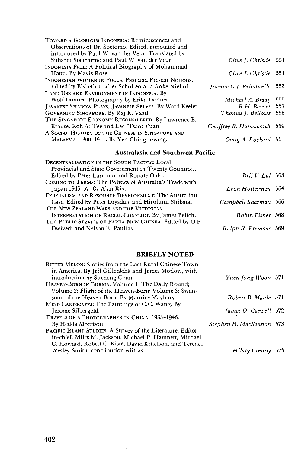| TOWARD A GLORIOUS INDONESIA: Reminiscences and          |                            |      |
|---------------------------------------------------------|----------------------------|------|
| Observations of Dr. Soetomo, Edited, annotated and      |                            |      |
| introduced by Paul W. van der Veur. Translated by       |                            |      |
| Suharni Soemarmo and Paul W. van der Veur.              | Clive J. Christie 551      |      |
| INDONESIA FREE: A Political Biography of Mohammad       |                            |      |
| Hatta. By Mavis Rose.                                   | Clive J. Christie          | -551 |
| INDONESIAN WOMEN IN FOCUS: Past and Present Notions.    |                            |      |
| Edited by Elsbeth Locher-Scholten and Anke Niehof.      | Joanne C.J. Prindiville    | 553  |
| LAND USE AND ENVIRONMENT IN INDONESIA. By               |                            |      |
| Wolf Donner. Photography by Erika Donner.               | Michael A. Brady           | 555  |
| JAVANESE SHADOW PLAYS, JAVANESE SELVES. By Ward Keeler. | R.H. Barnes                | 557  |
| GOVERNING SINGAPORE. By Raj K. Vasil.                   | Thomas J. Bellows          | 558  |
| THE SINGAPORE ECONOMY RECONSIDERED. By Lawrence B.      |                            |      |
| Krause, Koh Ai Tee and Lee (Tsao) Yuan.                 | Geoffrey B. Hainsworth 559 |      |
| A SOCIAL HISTORY OF THE CHINESE IN SINGAPORE AND        |                            |      |
| MALAYSIA, 1800-1911. By Yen Ching-hwang.                | Craig A. Lockard 561       |      |
|                                                         |                            |      |

# **Australasia and Southwest Pacific**

| $Brii V.$ Lal $563$  |
|----------------------|
| Leon Hollerman 564   |
| Campbell Sharman 566 |
| Robin Fisher 568     |
| Ralph R. Premdas 569 |
|                      |

# **BRIEFLY NOTED**

| BITTER MELON: Stories from the Last Rural Chinese Town<br>in America. By Jeff Gillenkirk and James Motlow, with |                          |  |
|-----------------------------------------------------------------------------------------------------------------|--------------------------|--|
| introduction by Sucheng Chan.                                                                                   | Yuen-fong Woon 571       |  |
| HEAVEN-BORN IN BURMA. Volume 1: The Daily Round;                                                                |                          |  |
| Volume 2: Flight of the Heaven-Born; Volume 3: Swan-                                                            |                          |  |
| song of the Heaven-Born. By Maurice Maybury.                                                                    | Robert B. Maule 571      |  |
| MIND LANDSCAPES: The Paintings of C.C. Wang. By                                                                 |                          |  |
| Jerome Silbergeld.                                                                                              | James O. Caswell 572     |  |
| TRAVELS OF A PHOTOGRAPHER IN CHINA, 1933-1946.                                                                  |                          |  |
| By Hedda Morrison.                                                                                              | Stephen R. MacKinnon 573 |  |
| PACIFIC ISLAND STUDIES: A Survey of the Literature. Editor-                                                     |                          |  |
| in-chief, Miles M. Jackson. Michael P. Hamnett, Michael                                                         |                          |  |
| C. Howard, Robert C. Kiste, David Kittelson, and Terence                                                        |                          |  |
| Wesley-Smith, contribution editors.                                                                             | Hilary Conroy 573        |  |

 $\cdot$ 

į.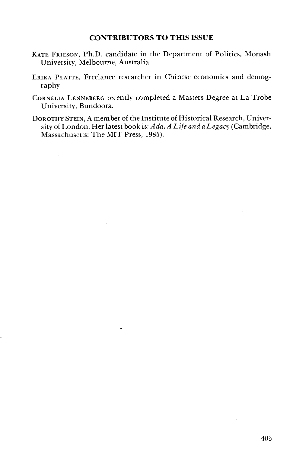- KATE FRIESON, Ph.D. candidate in the Department of Politics, Monash University, Melbourne, Australia.
- ERIKA PLATTE, Freelance researcher in Chinese economics and demography.
- CORNELIA LENNEBERG recently completed a Masters Degree at La Trobe University, Bundoora.
- DOROTHY STEIN, A member of the Institute of Historical Research, University of London. Her latest book is: *Ada, A Life and a Legacy* (Cambridge, Massachusetts: The MIT Press, 1985).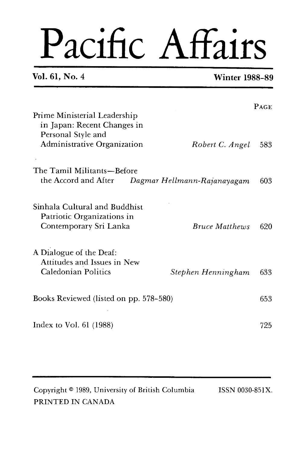# Pacific Affairs

# **Vol. 61, No. 4 Winter 1988-89**

| Prime Ministerial Leadership<br>in Japan: Recent Changes in                                                    | <b>PAGE</b> |
|----------------------------------------------------------------------------------------------------------------|-------------|
| Personal Style and<br>Administrative Organization<br>Robert C. Angel                                           | 583         |
| The Tamil Militants—Before<br>the Accord and After<br>Dagmar Hellmann-Rajanayagam                              | 603         |
| Sinhala Cultural and Buddhist<br>Patriotic Organizations in<br>Contemporary Sri Lanka<br><b>Bruce Matthews</b> | 620         |
| A Dialogue of the Deaf:<br>Attitudes and Issues in New<br>Caledonian Politics<br>Stephen Henningham            | 633         |
| Books Reviewed (listed on pp. 578-580)                                                                         | 653         |
| Index to Vol. $61$ (1988)                                                                                      | 725         |

| Copyright <sup>®</sup> 1989, University of British Columbia | ISSN 0030-851X. |
|-------------------------------------------------------------|-----------------|
| PRINTED IN CANADA                                           |                 |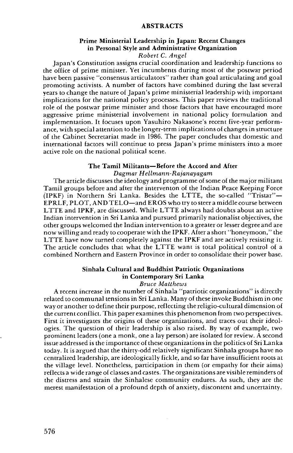#### ABSTRACTS

#### Prime Ministerial Leadership in Japan: Recent Changes in Personal Style and Administrative Organization *Robert C. Angel*

Japan's Constitution assigns crucial coordination and leadership functions to the office of prime minister. Yet incumbents during most of the postwar period have been passive "consensus articulators" rather than goal articulating and goal promoting activists. A number of factors have combined during the last several years to change the nature of Japan's prime ministerial leadership with important implications for the national policy processes. This paper reviews the traditional role of the postwar prime minister and those factors that have encouraged more aggressive prime ministerial involvement in national policy formulation and implementation. It focuses upon Yasuhiro Nakasone's recent five-year performance, with special attention to the longer-term implications of changes in structure of the Cabinet Secretariat made in 1986. The paper concludes that domestic and international factors will continue to press Japan's prime ministers into a more active role on the national political scene.

### The Tamil Militants-Before the Accord and After

*Dagmar Hellmann-Rajanayagam* 

The article discusses the ideology and programme of some of the major militant Tamil groups before and after the interventon of the Indian Peace Keeping Force  $(IPKF)$  in Northern Sri Lanka. Besides the LTTE, the so-called "Tristar"-EPRLF, PLOT, AND TELO-and EROS who try to steer a middle course between LTTE and IPKF, are discussed. While LTTE always had doubts about an active Indian intervention in Sri Lanka and pursued primarily nationalist objectives, the other groups welcomed the Indian intervention to a greater or lesser degree and are now willing and ready to cooperate with the IPKF. After a short "honeymoon," the LTTE have now turned completely against the IPKF and are actively resisting it. The article concludes that what the LTTE want is total political control of a combined Northern and Eastern Province in order to consolidate their power base.

# Sinhala Cultural and Buddhist Patriotic Organizations in Contemporary Sri Lanka

#### *Bruce Matthews*

A recent increase in the number of Sinhala "patriotic organizations" is directly related to communal tensions in Sri Lanka. Many of these invoke Buddhism in one way or another to define their purpose, reflecting the religio-cultural dimension of the current conflict. This paper examines this phenomenon from two perspectives. First it investigates the origins of these organizations, and traces out their ideologies. The question of their leadership is also raised. By way of example, two prominent leaders (one a monk, one a lay person) are isolated for review. A second issue addressed is the importance of these organizations in the politics of Sri Lanka today. It is argued that the thirty-odd relatively significant Sinhala groups have no centralized leadership, are ideologically fickle, and so far have insufficient roots at the village level. Nonetheless, participation in them (or empathy for their aims) reflects a wide range of classes and castes. The organizations are visible reminders of the distress and strain the Sinhalese community endures. As such, they are the merest manifestation of a profound depth of anxiety, discontent and uncertainty.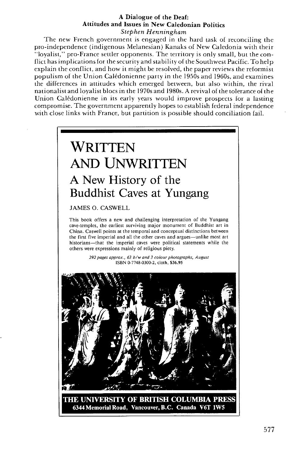#### **A Dialogue of the Deaf: Attitudes and Issues in New Caledonian Politics**  *Stephen Henningham*

The new French government is engaged in the hard task of reconciling the pro-independence (indigenous Melanesian) Kanaks of New Caledonia with their "loyalist," pro-France settler opponents. The territory is only small, but the conflict has implications for the security and stability of the Southwest Pacific. To help explain the conflict, and how it might be resolved, the paper reviews the reformist populism 01 the Union Calkdonienne party in the 1950s and 1960s, and examines the differences in attitudes which emerged between, but also within, the rival nationalist and loyalist blocs in the 1970s and 1980s. A revival of the tolerance of the Union Calédonienne in its early years would improve prospects for a lasting compromise. The government apparently hopes to establish federal independence with close links with France, but partition is possible should conciliation fail.



THE UNIVERSITY OF BRITISH COLUMBIA PRESS 6344 Memorial Road, Vancouver, B.C. Canada V6T 1W5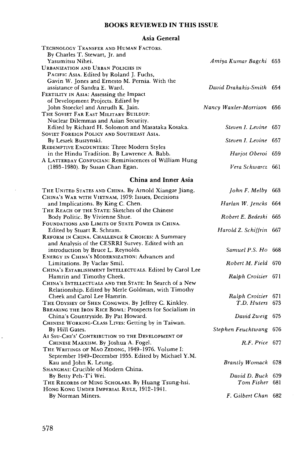# **BOOKS REVIEWED IN THIS ISSUE**

# **Asia General**

| TECHNOLOGY TRANSFER AND HUMAN FACTORS.                                                |                            |  |
|---------------------------------------------------------------------------------------|----------------------------|--|
| By Charles T. Stewart, Jr. and<br>Yasumitsu Nihei.                                    | Amiya Kumar Bagchi 653     |  |
| <b>URBANIZATION AND URBAN POLICIES IN</b>                                             |                            |  |
| PACIFIC ASIA. Edited by Roland J. Fuchs,                                              |                            |  |
| Gavin W. Jones and Ernesto M. Pernia. With the                                        |                            |  |
| assistance of Sandra E. Ward.                                                         | David Drakakis-Smith 654   |  |
| <b>FERTILITY IN ASIA: Assessing the Impact</b>                                        |                            |  |
| of Development Projects. Edited by                                                    |                            |  |
| John Stoeckel and Anrudh K. Jain.                                                     | Nancy Waxler-Morrison 656  |  |
| THE SOVIET FAR EAST MILITARY BUILDUP:                                                 |                            |  |
| Nuclear Dilemmas and Asian Security.                                                  |                            |  |
| Edited by Richard H. Solomon and Masataka Kosaka.                                     | Steven I. Levine 657       |  |
| SOVIET FOREIGN POLICY AND SOUTHEAST ASIA.                                             |                            |  |
| By Leszek Buszynski.                                                                  | Steven I. Levine 657       |  |
| REDEMPTIVE ENCOUNTERS: Three Modern Styles                                            |                            |  |
| in the Hindu Tradition. By Lawrence A. Babb.                                          | Harjot Oberoi 659          |  |
| A LATTERDAY CONFUCIAN: Reminiscences of William Hung                                  |                            |  |
| (1893-1980). By Susan Chan Egan.                                                      | Vera Schwarcz 661          |  |
| China and Inner Asia                                                                  |                            |  |
|                                                                                       |                            |  |
| THE UNITED STATES AND CHINA. By Arnold Xiangze Jiang.                                 | <i>John F. Melby</i> $663$ |  |
| CHINA's WAR WITH VIETNAM, 1979: Issues, Decisions                                     |                            |  |
| and Implications. By King C. Chen.                                                    | Harlan W. Jencks 664       |  |
| THE REACH OF THE STATE: Sketches of the Chinese                                       |                            |  |
| Body Politic. By Vivienne Shue.                                                       | Robert E. Bedeski 665      |  |
| FOUNDATIONS AND LIMITS OF STATE POWER IN CHINA.                                       |                            |  |
| Edited by Stuart R. Schram.                                                           | Harold Z. Schiffrin 667    |  |
| REFORM IN CHINA. CHALLENGE & CHOICES: A Summary                                       |                            |  |
| and Analysis of the CESRRI Survey. Edited with an                                     |                            |  |
| introduction by Bruce L. Reynolds.                                                    | Samuel P.S. Ho 668         |  |
| ENERGY IN CHINA's MODERNIZATION: Advances and                                         |                            |  |
| Limitations. By Vaclav Smil.                                                          | Robert M. Field 670        |  |
| CHINA's ESTABLISHMENT INTELLECTUALS. Edited by Carol Lee<br>Hamrin and Timothy Cheek. | Ralph Croizier 671         |  |
| CHINA'S INTELLECTUALS AND THE STATE: In Search of a New                               |                            |  |
| Relationship. Edited by Merle Goldman, with Timothy                                   |                            |  |
| Cheek and Carol Lee Hamrin.                                                           | Ralph Croizier 671         |  |
| THE ODYSSEY OF SHEN CONGWEN. By Jeffrey C. Kinkley.                                   | T.D. Huters 673            |  |
| BREAKING THE IRON RICE BOWL: Prospects for Socialism in                               |                            |  |
| China's Countryside. By Pat Howard.                                                   | David Zweig 675            |  |
| CHINESE WORKING-CLASS LIVES: Getting by in Taiwan.                                    |                            |  |
| By Hill Gates.                                                                        | Stephen Feuchtwang 676     |  |
| AI SSU-CHI'S' CONTRIBUTION TO THE DEVELOPMENT OF                                      |                            |  |
| CHINESE MARXISM. By Joshua A. Fogel.                                                  | R.F. Price 677             |  |
| THE WRITINGS OF MAO ZEDONG, 1949-1976. Volume I:                                      |                            |  |
| September 1949-December 1955. Edited by Michael Y.M.                                  |                            |  |
| Kau and John K. Leung.                                                                | Brantly Womack 678         |  |
| Sнамснаї: Crucible of Modern China.                                                   |                            |  |
| By Betty Peh-T'i Wei.                                                                 | David D. Buck 679          |  |
| THE RECORDS OF MING SCHOLARS. By Huang Tsung-hsi.                                     | Tom Fisher 681             |  |
| HONG KONG UNDER IMPERIAL RULE, 1912-1941.                                             |                            |  |
| By Norman Miners.                                                                     | F. Gilbert Chan 682        |  |
|                                                                                       |                            |  |

 $\bar{z}$ 

 $\ddot{\phantom{0}}$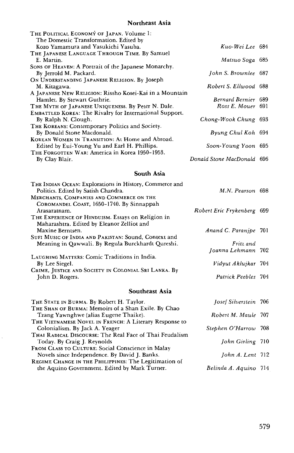# **Northeast Asia**

| THE POLITICAL ECONOMY OF JAPAN. Volume 1:                      |                            |  |
|----------------------------------------------------------------|----------------------------|--|
| The Domestic Transformation. Edited by                         |                            |  |
| Kozo Yamamura and Yasukichi Yasuba.                            | Kuo-Wei Lee 684            |  |
| THE JAPANESE LANGUAGE THROUGH TIME. By Samuel                  |                            |  |
| E. Martin.                                                     | Matsuo Soga 685            |  |
| Sons of HEAVEN: A Portrait of the Japanese Monarchy.           |                            |  |
| By Jerrold M. Packard.                                         | John S. Brownlee 687       |  |
| ON UNDERSTANDING JAPANESE RELIGION. By JOSeph                  |                            |  |
| M. Kitagawa.                                                   | Robert S. Ellwood 688      |  |
| A JAPANESE NEW RELIGION: Rissho Kosei-Kai in a Mountain        |                            |  |
| Hamlet. By Stewart Guthrie.                                    | Bernard Bernier 689        |  |
| THE MYTH OF JAPANESE UNIQUENESS. By Peter N. Dale.             | Ross E. Mouer 691          |  |
| <b>EMBATTLED KOREA: The Rivalry for International Support.</b> |                            |  |
| By Ralph N. Clough.                                            | Chong-Wook Chung 693       |  |
| THE KOREANS: Contemporary Politics and Society.                |                            |  |
| By Donald Stone Macdonald.                                     | Byung Chul Koh 694         |  |
| KOREAN WOMEN IN TRANSITION: At Home and Abroad.                |                            |  |
| Edited by Eui-Young Yu and Earl H. Phillips.                   | Soon-Young Yoon 695        |  |
| THE FORGOTTEN WAR: America in Korea 1950-1953.                 |                            |  |
| By Clay Blair.                                                 | Donald Stone MacDonald 696 |  |

# **South Asia**

| THE INDIAN OCEAN: Explorations in History, Commerce and<br>Politics. Edited by Satish Chandra. | M.N. Pearson 698           |  |
|------------------------------------------------------------------------------------------------|----------------------------|--|
| MERCHANTS, COMPANIES AND COMMERCE ON THE                                                       |                            |  |
| COROMANDEL COAST, 1650-1740. By Sinnappah                                                      |                            |  |
| Arasaratnam.                                                                                   | Robert Eric Frykenberg 699 |  |
| THE EXPERIENCE OF HINDUISM. Essays on Religion in                                              |                            |  |
| Maharashtra. Edited by Eleanor Zelliot and                                                     |                            |  |
| Maxine Berntsen.                                                                               | Anand C. Paranipe 701      |  |
| SUFI MUSIC OF INDIA AND PAKISTAN: Sound, Context and                                           |                            |  |
| Meaning in Qawwali. By Regula Burckhardt Qureshi.                                              | Fritz and                  |  |
|                                                                                                | Joanna Lehmann 702         |  |
| LAUGHING MATTERS: Comic Traditions in India.                                                   |                            |  |
| By Lee Siegel.                                                                                 | Vidyut Aklujkar 704        |  |
| CRIME, JUSTICE AND SOCIETY IN COLONIAL SRI LANKA. By                                           |                            |  |
| John D. Rogers.                                                                                | Patrick Peebles 704        |  |
| Southeast Asia                                                                                 |                            |  |
| THE STATE IN BURMA. By Robert H. Taylor.                                                       | Josef Silverstein 706      |  |
| THE SHAN OF BURMA: Memoirs of a Shan Exile. By Chao                                            |                            |  |
| Tzang Yawnghwe (alias Eugene Thaike).                                                          | Robert M. Maule 707        |  |
| THE VIETNAMESE NOVEL IN FRENCH: A Literary Response to                                         |                            |  |
| Colonialism. By Jack A. Yeager                                                                 | Stephen O'Harrow 708       |  |
| THAI RADICAL DISCOURSE: The Real Face of Thai Feudalism                                        |                            |  |
| Today. By Craig J. Reynolds                                                                    | John Girling 710           |  |
| FROM CLASS TO CULTURE: Social Conscience in Malay                                              |                            |  |
| Novels since Independence. By David J. Banks.                                                  | John A. Lent $712$         |  |
| REGIME CHANGE IN THE PHILIPPINES: The Legitimation of                                          |                            |  |
| the Aquino Government. Edited by Mark Turner.                                                  | Belinda A. Aquino 714      |  |

 $\ddot{\phantom{a}}$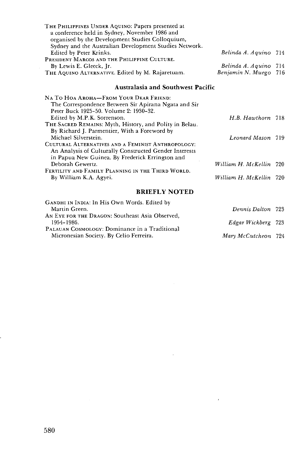| THE PHILIPPINES UNDER AQUINO: Papers presented at      |                       |  |
|--------------------------------------------------------|-----------------------|--|
| a conference held in Sydney, November 1986 and         |                       |  |
| organised by the Development Studies Colloquium,       |                       |  |
| Sydney and the Australian Development Studies Network. |                       |  |
| Edited by Peter Krinks.                                | Belinda A. Aquino 714 |  |
| PRESIDENT MARCOS AND THE PHILIPPINE CULTURE.           |                       |  |
| By Lewis E. Gleeck, Ir.                                | Belinda A. Aquino 714 |  |
| THE AQUINO ALTERNATIVE. Edited by M. Rajaretuam.       | Benjamin N. Muego 716 |  |

# **Australasia and Southwest Pacific**

| NA TO HOA AROHA-FROM YOUR DEAR FRIEND:                  |                         |  |
|---------------------------------------------------------|-------------------------|--|
| The Correspondence Between Sir Apirana Ngata and Sir    |                         |  |
| Peter Buck 1925-50. Volume 2: 1930-32.                  |                         |  |
| Edited by M.P.K. Sorrenson.                             | H.B. Hawthorn 718       |  |
| THE SACRED REMAINS: Myth, History, and Polity in Belau. |                         |  |
| By Richard J. Parmentier, With a Foreword by            |                         |  |
| Michael Silverstein.                                    | Leonard Mason 719       |  |
| CULTURAL ALTERNATIVES AND A FEMINIST ANTHROPOLOGY:      |                         |  |
| An Analysis of Culturally Constructed Gender Interests  |                         |  |
| in Papua New Guinea. By Frederick Errington and         |                         |  |
| Deborah Gewertz.                                        | William H. McKellin 720 |  |
| FERTILITY AND FAMILY PLANNING IN THE THIRD WORLD.       |                         |  |
| By William K.A. Agyei.                                  | William H. McKellin 720 |  |
|                                                         |                         |  |

**BRIEFLY NOTED** 

| GANDHI IN INDIA: In His Own Words. Edited by    |                     |  |
|-------------------------------------------------|---------------------|--|
| Martin Green.                                   | Dennis Dalton 723   |  |
| AN EYE FOR THE DRAGON: Southeast Asia Observed, |                     |  |
| 1954–1986.                                      | Edgar Wickberg 723  |  |
| PALAUAN COSMOLOGY: Dominance in a Traditional   |                     |  |
| Micronesian Society. By Celio Ferreira.         | Mary McCutcheon 724 |  |

÷.

 $\bar{r}$